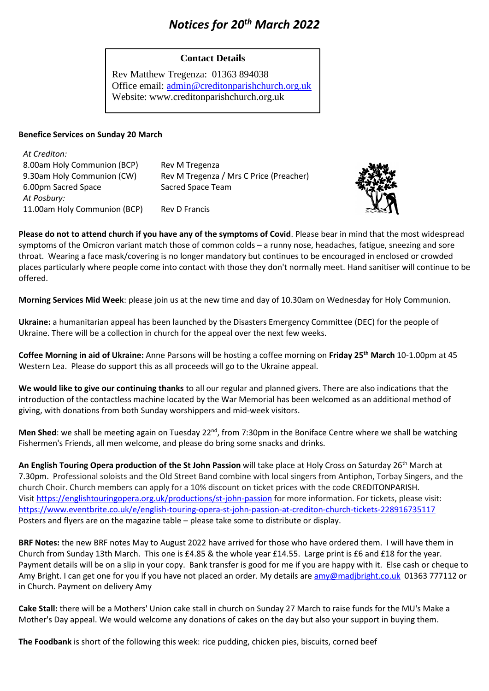# *Notices for 20th March 2022*

## **Contact Details**

Rev Matthew Tregenza: 01363 894038 Office email: [admin@creditonparishchurch.org.uk](mailto:admin@creditonparishchurch.org.uk) Website: www.creditonparishchurch.org.uk

#### **Benefice Services on Sunday 20 March**

| At Crediton:                 |                                         |
|------------------------------|-----------------------------------------|
| 8.00am Holy Communion (BCP)  | Rev M Tregenza                          |
| 9.30am Holy Communion (CW)   | Rev M Tregenza / Mrs C Price (Preacher) |
| 6.00pm Sacred Space          | Sacred Space Team                       |
| At Posbury:                  |                                         |
| 11.00am Holy Communion (BCP) | <b>Rev D Francis</b>                    |



**Please do not to attend church if you have any of the symptoms of Covid**. Please bear in mind that the most widespread symptoms of the Omicron variant match those of common colds – a runny nose, headaches, fatigue, sneezing and sore throat. Wearing a face mask/covering is no longer mandatory but continues to be encouraged in enclosed or crowded places particularly where people come into contact with those they don't normally meet. Hand sanitiser will continue to be offered.

**Morning Services Mid Week**: please join us at the new time and day of 10.30am on Wednesday for Holy Communion.

**Ukraine:** a humanitarian appeal has been launched by the Disasters Emergency Committee (DEC) for the people of Ukraine. There will be a collection in church for the appeal over the next few weeks.

**Coffee Morning in aid of Ukraine:** Anne Parsons will be hosting a coffee morning on **Friday 25th March** 10-1.00pm at 45 Western Lea. Please do support this as all proceeds will go to the Ukraine appeal.

**We would like to give our continuing thanks** to all our regular and planned givers. There are also indications that the introduction of the contactless machine located by the War Memorial has been welcomed as an additional method of giving, with donations from both Sunday worshippers and mid-week visitors.

Men Shed: we shall be meeting again on Tuesday 22<sup>nd</sup>, from 7:30pm in the Boniface Centre where we shall be watching Fishermen's Friends, all men welcome, and please do bring some snacks and drinks.

**An English Touring Opera production of the St John Passion** will take place at Holy Cross on Saturday 26th March at 7.30pm. Professional soloists and the Old Street Band combine with local singers from Antiphon, Torbay Singers, and the church Choir. Church members can apply for a 10% discount on ticket prices with the code CREDITONPARISH. Visit <https://englishtouringopera.org.uk/productions/st-john-passion> for more information. For tickets, please visit: <https://www.eventbrite.co.uk/e/english-touring-opera-st-john-passion-at-crediton-church-tickets-228916735117> Posters and flyers are on the magazine table – please take some to distribute or display.

**BRF Notes:** the new BRF notes May to August 2022 have arrived for those who have ordered them. I will have them in Church from Sunday 13th March. This one is £4.85 & the whole year £14.55. Large print is £6 and £18 for the year. Payment details will be on a slip in your copy. Bank transfer is good for me if you are happy with it. Else cash or cheque to Amy Bright. I can get one for you if you have not placed an order. My details ar[e amy@madjbright.co.uk](mailto:amy@madjbright.co.uk) 01363 777112 or in Church. Payment on delivery Amy

**Cake Stall:** there will be a Mothers' Union cake stall in church on Sunday 27 March to raise funds for the MU's Make a Mother's Day appeal. We would welcome any donations of cakes on the day but also your support in buying them.

**The Foodbank** is short of the following this week: rice pudding, chicken pies, biscuits, corned beef